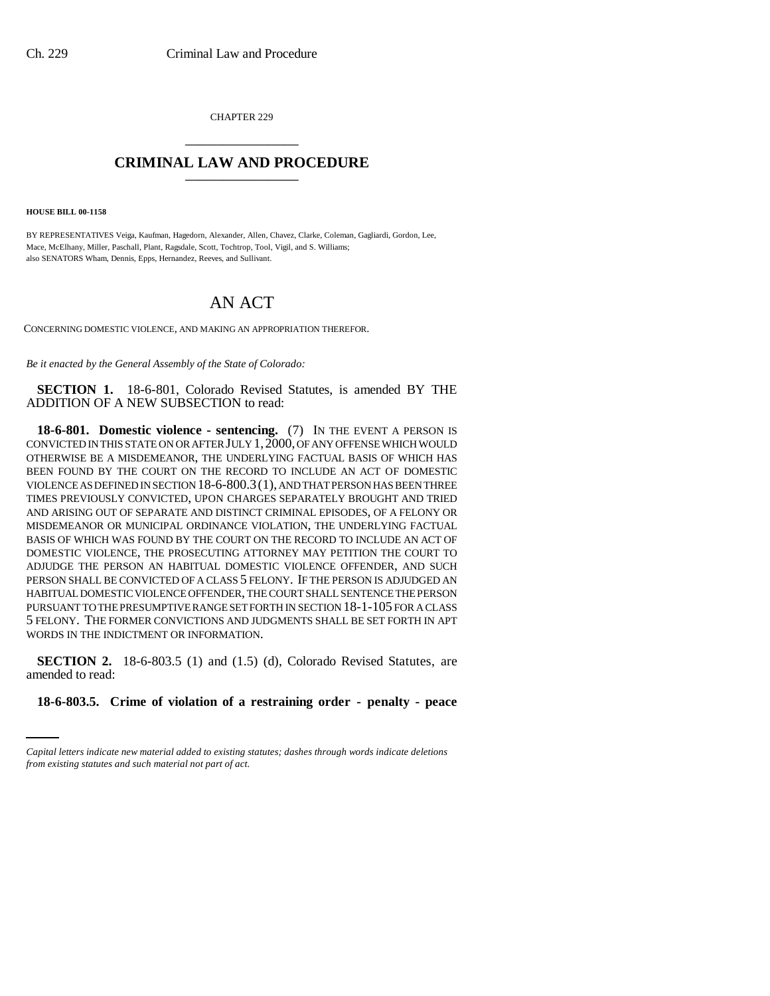CHAPTER 229 \_\_\_\_\_\_\_\_\_\_\_\_\_\_\_

# **CRIMINAL LAW AND PROCEDURE** \_\_\_\_\_\_\_\_\_\_\_\_\_\_\_

**HOUSE BILL 00-1158** 

BY REPRESENTATIVES Veiga, Kaufman, Hagedorn, Alexander, Allen, Chavez, Clarke, Coleman, Gagliardi, Gordon, Lee, Mace, McElhany, Miller, Paschall, Plant, Ragsdale, Scott, Tochtrop, Tool, Vigil, and S. Williams; also SENATORS Wham, Dennis, Epps, Hernandez, Reeves, and Sullivant.

# AN ACT

CONCERNING DOMESTIC VIOLENCE, AND MAKING AN APPROPRIATION THEREFOR.

*Be it enacted by the General Assembly of the State of Colorado:*

**SECTION 1.** 18-6-801, Colorado Revised Statutes, is amended BY THE ADDITION OF A NEW SUBSECTION to read:

**18-6-801. Domestic violence - sentencing.** (7) IN THE EVENT A PERSON IS CONVICTED IN THIS STATE ON OR AFTER JULY 1,2000, OF ANY OFFENSE WHICH WOULD OTHERWISE BE A MISDEMEANOR, THE UNDERLYING FACTUAL BASIS OF WHICH HAS BEEN FOUND BY THE COURT ON THE RECORD TO INCLUDE AN ACT OF DOMESTIC VIOLENCE AS DEFINED IN SECTION  $18-6-800.3(1)$ , AND THAT PERSON HAS BEEN THREE TIMES PREVIOUSLY CONVICTED, UPON CHARGES SEPARATELY BROUGHT AND TRIED AND ARISING OUT OF SEPARATE AND DISTINCT CRIMINAL EPISODES, OF A FELONY OR MISDEMEANOR OR MUNICIPAL ORDINANCE VIOLATION, THE UNDERLYING FACTUAL BASIS OF WHICH WAS FOUND BY THE COURT ON THE RECORD TO INCLUDE AN ACT OF DOMESTIC VIOLENCE, THE PROSECUTING ATTORNEY MAY PETITION THE COURT TO ADJUDGE THE PERSON AN HABITUAL DOMESTIC VIOLENCE OFFENDER, AND SUCH PERSON SHALL BE CONVICTED OF A CLASS 5 FELONY. IF THE PERSON IS ADJUDGED AN HABITUAL DOMESTIC VIOLENCE OFFENDER, THE COURT SHALL SENTENCE THE PERSON PURSUANT TO THE PRESUMPTIVE RANGE SET FORTH IN SECTION 18-1-105 FOR A CLASS 5 FELONY. THE FORMER CONVICTIONS AND JUDGMENTS SHALL BE SET FORTH IN APT WORDS IN THE INDICTMENT OR INFORMATION.

amended to read: **SECTION 2.** 18-6-803.5 (1) and (1.5) (d), Colorado Revised Statutes, are

**18-6-803.5. Crime of violation of a restraining order - penalty - peace**

*Capital letters indicate new material added to existing statutes; dashes through words indicate deletions from existing statutes and such material not part of act.*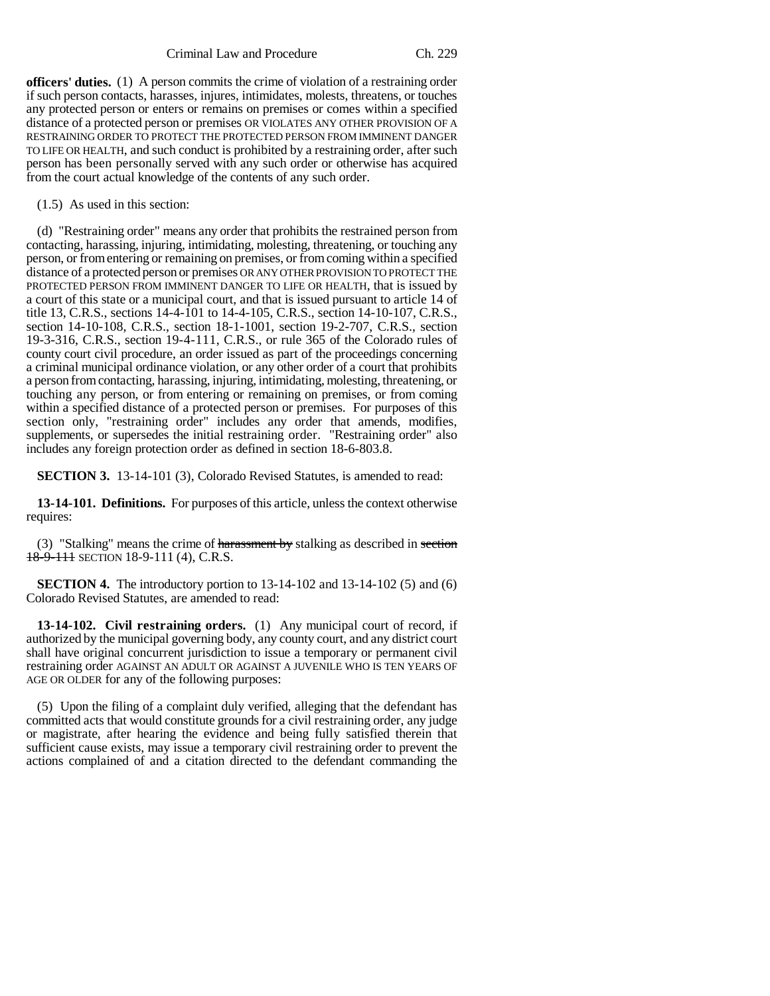**officers' duties.** (1) A person commits the crime of violation of a restraining order if such person contacts, harasses, injures, intimidates, molests, threatens, or touches any protected person or enters or remains on premises or comes within a specified distance of a protected person or premises OR VIOLATES ANY OTHER PROVISION OF A RESTRAINING ORDER TO PROTECT THE PROTECTED PERSON FROM IMMINENT DANGER TO LIFE OR HEALTH, and such conduct is prohibited by a restraining order, after such person has been personally served with any such order or otherwise has acquired from the court actual knowledge of the contents of any such order.

## (1.5) As used in this section:

(d) "Restraining order" means any order that prohibits the restrained person from contacting, harassing, injuring, intimidating, molesting, threatening, or touching any person, or from entering or remaining on premises, or from coming within a specified distance of a protected person or premises OR ANY OTHER PROVISION TO PROTECT THE PROTECTED PERSON FROM IMMINENT DANGER TO LIFE OR HEALTH, that is issued by a court of this state or a municipal court, and that is issued pursuant to article 14 of title 13, C.R.S., sections 14-4-101 to 14-4-105, C.R.S., section 14-10-107, C.R.S., section 14-10-108, C.R.S., section 18-1-1001, section 19-2-707, C.R.S., section 19-3-316, C.R.S., section 19-4-111, C.R.S., or rule 365 of the Colorado rules of county court civil procedure, an order issued as part of the proceedings concerning a criminal municipal ordinance violation, or any other order of a court that prohibits a person from contacting, harassing, injuring, intimidating, molesting, threatening, or touching any person, or from entering or remaining on premises, or from coming within a specified distance of a protected person or premises. For purposes of this section only, "restraining order" includes any order that amends, modifies, supplements, or supersedes the initial restraining order. "Restraining order" also includes any foreign protection order as defined in section 18-6-803.8.

**SECTION 3.** 13-14-101 (3), Colorado Revised Statutes, is amended to read:

**13-14-101. Definitions.** For purposes of this article, unless the context otherwise requires:

(3) "Stalking" means the crime of harassment by stalking as described in section 18-9-111 SECTION 18-9-111 (4), C.R.S.

**SECTION 4.** The introductory portion to 13-14-102 and 13-14-102 (5) and (6) Colorado Revised Statutes, are amended to read:

**13-14-102. Civil restraining orders.** (1) Any municipal court of record, if authorized by the municipal governing body, any county court, and any district court shall have original concurrent jurisdiction to issue a temporary or permanent civil restraining order AGAINST AN ADULT OR AGAINST A JUVENILE WHO IS TEN YEARS OF AGE OR OLDER for any of the following purposes:

(5) Upon the filing of a complaint duly verified, alleging that the defendant has committed acts that would constitute grounds for a civil restraining order, any judge or magistrate, after hearing the evidence and being fully satisfied therein that sufficient cause exists, may issue a temporary civil restraining order to prevent the actions complained of and a citation directed to the defendant commanding the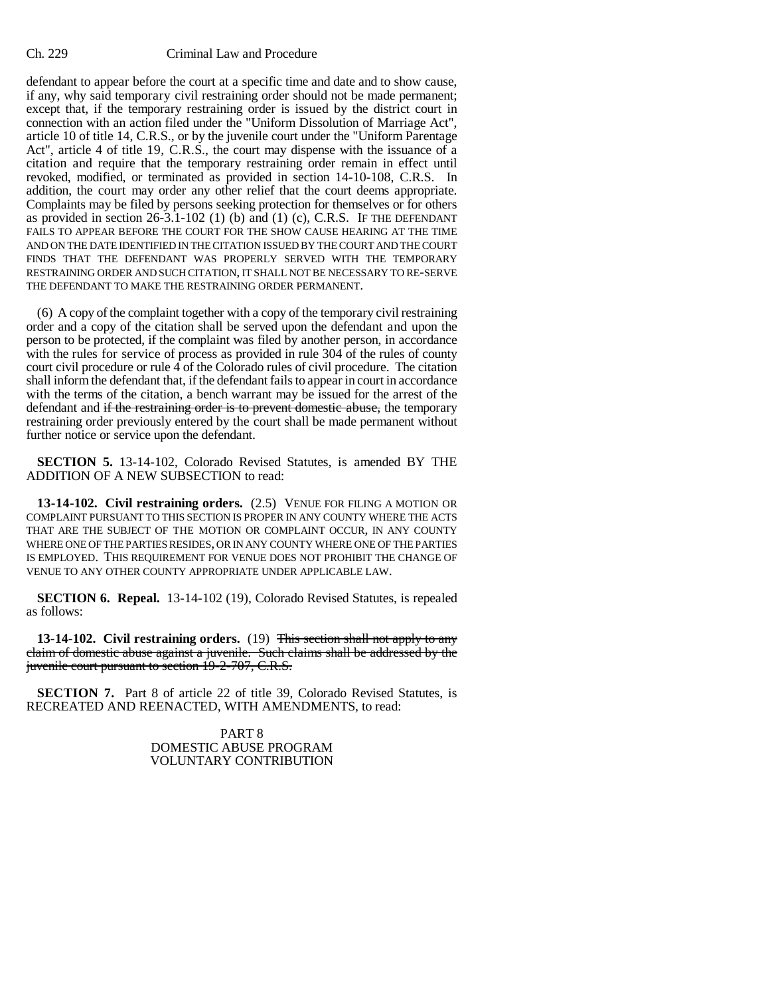### Ch. 229 Criminal Law and Procedure

defendant to appear before the court at a specific time and date and to show cause, if any, why said temporary civil restraining order should not be made permanent; except that, if the temporary restraining order is issued by the district court in connection with an action filed under the "Uniform Dissolution of Marriage Act", article 10 of title 14, C.R.S., or by the juvenile court under the "Uniform Parentage Act", article 4 of title 19, C.R.S., the court may dispense with the issuance of a citation and require that the temporary restraining order remain in effect until revoked, modified, or terminated as provided in section 14-10-108, C.R.S. In addition, the court may order any other relief that the court deems appropriate. Complaints may be filed by persons seeking protection for themselves or for others as provided in section  $26-3.1-102$  (1) (b) and (1) (c), C.R.S. IF THE DEFENDANT FAILS TO APPEAR BEFORE THE COURT FOR THE SHOW CAUSE HEARING AT THE TIME AND ON THE DATE IDENTIFIED IN THE CITATION ISSUED BY THE COURT AND THE COURT FINDS THAT THE DEFENDANT WAS PROPERLY SERVED WITH THE TEMPORARY RESTRAINING ORDER AND SUCH CITATION, IT SHALL NOT BE NECESSARY TO RE-SERVE THE DEFENDANT TO MAKE THE RESTRAINING ORDER PERMANENT.

(6) A copy of the complaint together with a copy of the temporary civil restraining order and a copy of the citation shall be served upon the defendant and upon the person to be protected, if the complaint was filed by another person, in accordance with the rules for service of process as provided in rule 304 of the rules of county court civil procedure or rule  $\overline{4}$  of the Colorado rules of civil procedure. The citation shall inform the defendant that, if the defendant fails to appear in court in accordance with the terms of the citation, a bench warrant may be issued for the arrest of the defendant and if the restraining order is to prevent domestic abuse, the temporary restraining order previously entered by the court shall be made permanent without further notice or service upon the defendant.

**SECTION 5.** 13-14-102, Colorado Revised Statutes, is amended BY THE ADDITION OF A NEW SUBSECTION to read:

**13-14-102. Civil restraining orders.** (2.5) VENUE FOR FILING A MOTION OR COMPLAINT PURSUANT TO THIS SECTION IS PROPER IN ANY COUNTY WHERE THE ACTS THAT ARE THE SUBJECT OF THE MOTION OR COMPLAINT OCCUR, IN ANY COUNTY WHERE ONE OF THE PARTIES RESIDES, OR IN ANY COUNTY WHERE ONE OF THE PARTIES IS EMPLOYED. THIS REQUIREMENT FOR VENUE DOES NOT PROHIBIT THE CHANGE OF VENUE TO ANY OTHER COUNTY APPROPRIATE UNDER APPLICABLE LAW.

**SECTION 6. Repeal.** 13-14-102 (19), Colorado Revised Statutes, is repealed as follows:

**13-14-102. Civil restraining orders.** (19) This section shall not apply to any claim of domestic abuse against a juvenile. Such claims shall be addressed by the juvenile court pursuant to section 19-2-707, C.R.S.

**SECTION 7.** Part 8 of article 22 of title 39, Colorado Revised Statutes, is RECREATED AND REENACTED, WITH AMENDMENTS, to read:

> PART 8 DOMESTIC ABUSE PROGRAM VOLUNTARY CONTRIBUTION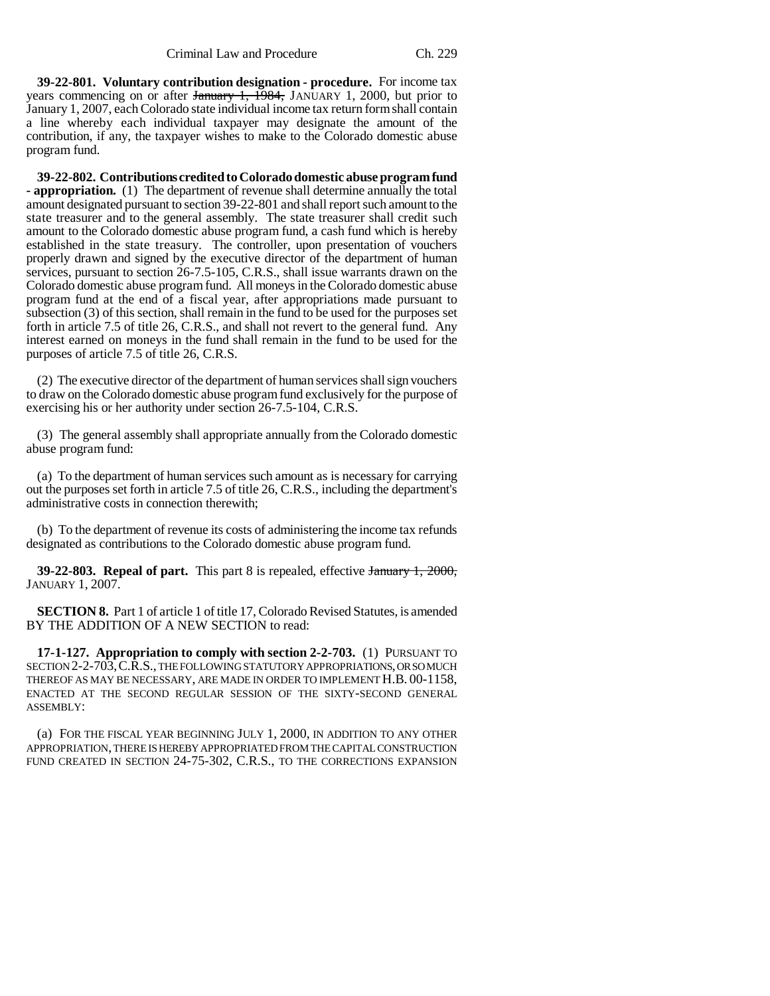**39-22-801. Voluntary contribution designation - procedure.** For income tax years commencing on or after January 1, 1984, JANUARY 1, 2000, but prior to January 1, 2007, each Colorado state individual income tax return form shall contain a line whereby each individual taxpayer may designate the amount of the contribution, if any, the taxpayer wishes to make to the Colorado domestic abuse program fund.

**39-22-802. Contributions credited to Colorado domestic abuse program fund - appropriation.** (1) The department of revenue shall determine annually the total amount designated pursuant to section 39-22-801 and shall report such amount to the state treasurer and to the general assembly. The state treasurer shall credit such amount to the Colorado domestic abuse program fund, a cash fund which is hereby established in the state treasury. The controller, upon presentation of vouchers properly drawn and signed by the executive director of the department of human services, pursuant to section 26-7.5-105, C.R.S., shall issue warrants drawn on the Colorado domestic abuse program fund. All moneys in the Colorado domestic abuse program fund at the end of a fiscal year, after appropriations made pursuant to subsection (3) of this section, shall remain in the fund to be used for the purposes set forth in article 7.5 of title 26, C.R.S., and shall not revert to the general fund. Any interest earned on moneys in the fund shall remain in the fund to be used for the purposes of article 7.5 of title 26, C.R.S.

(2) The executive director of the department of human services shall sign vouchers to draw on the Colorado domestic abuse program fund exclusively for the purpose of exercising his or her authority under section 26-7.5-104, C.R.S.

(3) The general assembly shall appropriate annually from the Colorado domestic abuse program fund:

(a) To the department of human services such amount as is necessary for carrying out the purposes set forth in article 7.5 of title 26, C.R.S., including the department's administrative costs in connection therewith;

(b) To the department of revenue its costs of administering the income tax refunds designated as contributions to the Colorado domestic abuse program fund.

**39-22-803. Repeal of part.** This part 8 is repealed, effective January 1, 2000, JANUARY 1, 2007.

**SECTION 8.** Part 1 of article 1 of title 17, Colorado Revised Statutes, is amended BY THE ADDITION OF A NEW SECTION to read:

**17-1-127. Appropriation to comply with section 2-2-703.** (1) PURSUANT TO SECTION 2-2-703,C.R.S., THE FOLLOWING STATUTORY APPROPRIATIONS, OR SO MUCH THEREOF AS MAY BE NECESSARY, ARE MADE IN ORDER TO IMPLEMENT H.B. 00-1158, ENACTED AT THE SECOND REGULAR SESSION OF THE SIXTY-SECOND GENERAL ASSEMBLY:

(a) FOR THE FISCAL YEAR BEGINNING JULY 1, 2000, IN ADDITION TO ANY OTHER APPROPRIATION, THERE IS HEREBY APPROPRIATED FROM THE CAPITAL CONSTRUCTION FUND CREATED IN SECTION 24-75-302, C.R.S., TO THE CORRECTIONS EXPANSION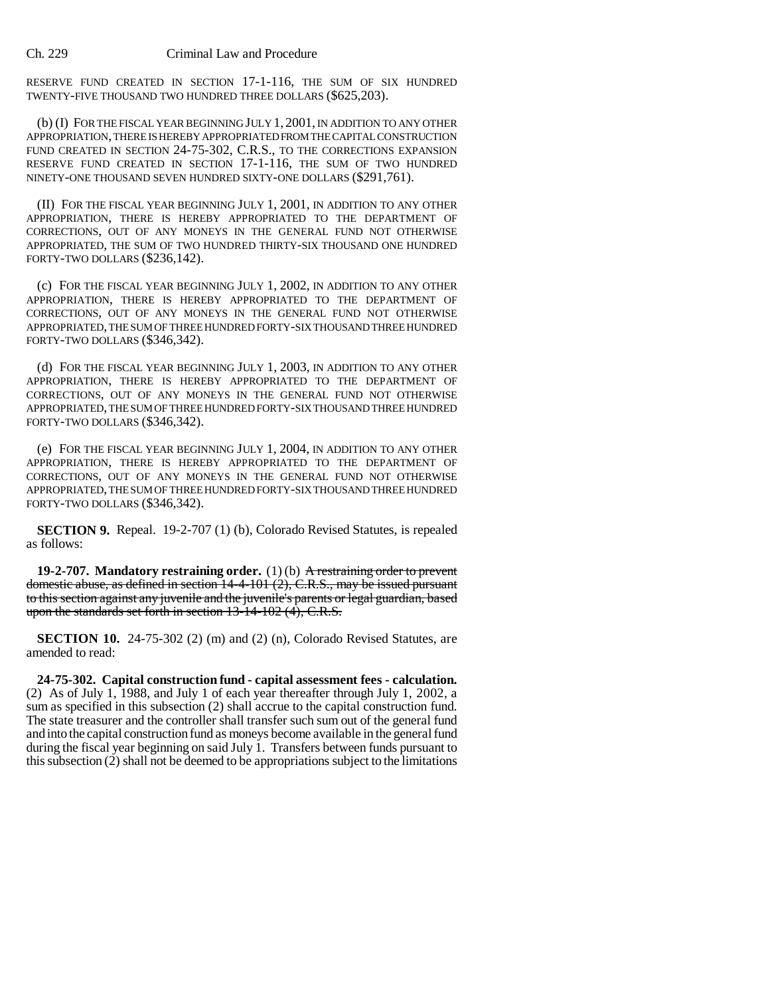### Ch. 229 Criminal Law and Procedure

RESERVE FUND CREATED IN SECTION 17-1-116, THE SUM OF SIX HUNDRED TWENTY-FIVE THOUSAND TWO HUNDRED THREE DOLLARS (\$625,203).

(b) (I) FOR THE FISCAL YEAR BEGINNING JULY 1, 2001, IN ADDITION TO ANY OTHER APPROPRIATION, THERE IS HEREBY APPROPRIATED FROM THE CAPITAL CONSTRUCTION FUND CREATED IN SECTION 24-75-302, C.R.S., TO THE CORRECTIONS EXPANSION RESERVE FUND CREATED IN SECTION 17-1-116, THE SUM OF TWO HUNDRED NINETY-ONE THOUSAND SEVEN HUNDRED SIXTY-ONE DOLLARS (\$291,761).

(II) FOR THE FISCAL YEAR BEGINNING JULY 1, 2001, IN ADDITION TO ANY OTHER APPROPRIATION, THERE IS HEREBY APPROPRIATED TO THE DEPARTMENT OF CORRECTIONS, OUT OF ANY MONEYS IN THE GENERAL FUND NOT OTHERWISE APPROPRIATED, THE SUM OF TWO HUNDRED THIRTY-SIX THOUSAND ONE HUNDRED FORTY-TWO DOLLARS (\$236,142).

(c) FOR THE FISCAL YEAR BEGINNING JULY 1, 2002, IN ADDITION TO ANY OTHER APPROPRIATION, THERE IS HEREBY APPROPRIATED TO THE DEPARTMENT OF CORRECTIONS, OUT OF ANY MONEYS IN THE GENERAL FUND NOT OTHERWISE APPROPRIATED, THE SUM OF THREE HUNDRED FORTY-SIX THOUSAND THREE HUNDRED FORTY-TWO DOLLARS (\$346,342).

(d) FOR THE FISCAL YEAR BEGINNING JULY 1, 2003, IN ADDITION TO ANY OTHER APPROPRIATION, THERE IS HEREBY APPROPRIATED TO THE DEPARTMENT OF CORRECTIONS, OUT OF ANY MONEYS IN THE GENERAL FUND NOT OTHERWISE APPROPRIATED, THE SUM OF THREE HUNDRED FORTY-SIX THOUSAND THREE HUNDRED FORTY-TWO DOLLARS (\$346,342).

(e) FOR THE FISCAL YEAR BEGINNING JULY 1, 2004, IN ADDITION TO ANY OTHER APPROPRIATION, THERE IS HEREBY APPROPRIATED TO THE DEPARTMENT OF CORRECTIONS, OUT OF ANY MONEYS IN THE GENERAL FUND NOT OTHERWISE APPROPRIATED, THE SUM OF THREE HUNDRED FORTY-SIX THOUSAND THREE HUNDRED FORTY-TWO DOLLARS (\$346,342).

**SECTION 9.** Repeal. 19-2-707 (1) (b), Colorado Revised Statutes, is repealed as follows:

**19-2-707. Mandatory restraining order.** (1) (b) A restraining order to prevent domestic abuse, as defined in section 14-4-101 (2), C.R.S., may be issued pursuant to this section against any juvenile and the juvenile's parents or legal guardian, based upon the standards set forth in section 13-14-102 (4), C.R.S.

**SECTION 10.** 24-75-302 (2) (m) and (2) (n), Colorado Revised Statutes, are amended to read:

**24-75-302. Capital construction fund - capital assessment fees - calculation.** (2) As of July 1, 1988, and July 1 of each year thereafter through July 1, 2002, a sum as specified in this subsection (2) shall accrue to the capital construction fund. The state treasurer and the controller shall transfer such sum out of the general fund and into the capital construction fund as moneys become available in the general fund during the fiscal year beginning on said July 1. Transfers between funds pursuant to this subsection (2) shall not be deemed to be appropriations subject to the limitations